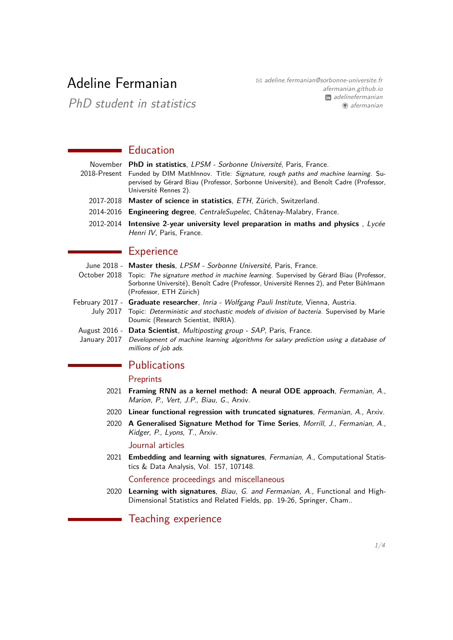# Adeline Fermanian

 $\boxtimes$  [adeline.fermanian@sorbonne-universite.fr](mailto:adeline.fermanian@sorbonne-universite.fr) [afermanian.github.io](https://afermanian.github.io) **m** [adelinefermanian](https://www.linkedin.com/in/adelinefermanian) [afermanian](https://www.github.com/afermanian)

PhD student in statistics

## **Education**

| November PhD in statistics, LPSM - Sorbonne Université, Paris, France.                                                                                                                                           |  |  |  |
|------------------------------------------------------------------------------------------------------------------------------------------------------------------------------------------------------------------|--|--|--|
| 2018-Present Funded by DIM MathInnov. Title: Signature, rough paths and machine learning. Su-<br>pervised by Gérard Biau (Professor, Sorbonne Université), and Benoît Cadre (Professor,<br>Université Rennes 2). |  |  |  |
| 2017-2018 Master of science in statistics, ETH, Zürich, Switzerland.                                                                                                                                             |  |  |  |
| 2014-2016 Engineering degree, CentraleSupelec, Châtenay-Malabry, France.                                                                                                                                         |  |  |  |
| 2012-2014 Intensive 2-year university level preparation in maths and physics, Lycée<br>Henri IV, Paris, France.                                                                                                  |  |  |  |

### **Experience**

 $\mathcal{L}$ 

|              | June 2018 - Master thesis, LPSM - Sorbonne Université, Paris, France.                                                                                                                                                               |  |  |  |
|--------------|-------------------------------------------------------------------------------------------------------------------------------------------------------------------------------------------------------------------------------------|--|--|--|
| October 2018 | Topic: The signature method in machine learning. Supervised by Gérard Biau (Professor,<br>Sorbonne Université), Benoît Cadre (Professor, Université Rennes 2), and Peter Bühlmann<br>(Professor, ETH Zürich)                        |  |  |  |
|              | February 2017 - Graduate researcher, Inria - Wolfgang Pauli Institute, Vienna, Austria.<br>July 2017 Topic: Deterministic and stochastic models of division of bacteria. Supervised by Marie<br>Doumic (Research Scientist, INRIA). |  |  |  |
|              | August 2016 - Data Scientist, Multiposting group - SAP, Paris, France.                                                                                                                                                              |  |  |  |

January 2017 Development of machine learning algorithms for salary prediction using a database of millions of job ads.

## Publications

#### **Preprints**

- 2021 **Framing RNN as a kernel method: A neural ODE approach**, Fermanian, A., Marion, P., Vert, J.P., Biau, G., [Arxiv.](https://arxiv.org/pdf/2106.01202.pdf)
- 2020 **Linear functional regression with truncated signatures**, Fermanian, A., [Arxiv.](https://arxiv.org/pdf/2006.08442.pdf)
- 2020 **A Generalised Signature Method for Time Series**, Morrill, J., Fermanian, A., Kidger, P., Lyons, T., [Arxiv.](https://arxiv.org/pdf/2006.00873.pdf)

Journal articles

2021 **Embedding and learning with signatures**, Fermanian, A., Computational Statistics & Data Analysis, Vol. 157, 107148.

Conference proceedings and miscellaneous

2020 **Learning with signatures**, Biau, G. and Fermanian, A., Functional and High-Dimensional Statistics and Related Fields, pp. 19-26, Springer, Cham..

Teaching experience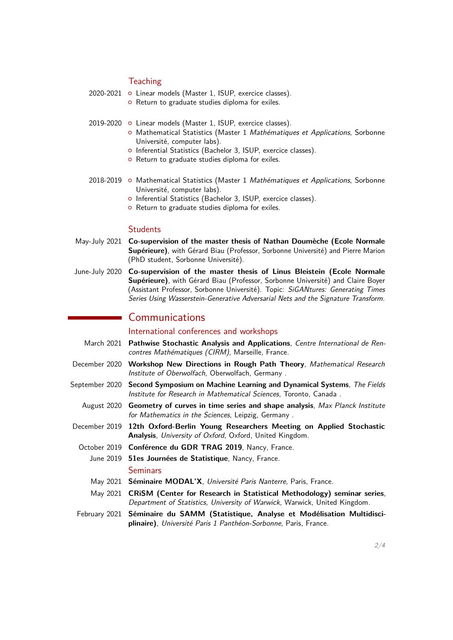#### **Teaching**

| 2020-2021 o Linear models (Master 1, ISUP, exercice classes). |
|---------------------------------------------------------------|
| o Return to graduate studies diploma for exiles.              |

- 2019-2020 o Linear models (Master 1, ISUP, exercice classes).
	- o Mathematical Statistics (Master 1 Mathématiques et Applications, Sorbonne Université, computer labs).
	- o Inferential Statistics (Bachelor 3, ISUP, exercice classes).
	- o Return to graduate studies diploma for exiles.
- 2018-2019 o Mathematical Statistics (Master 1 Mathématiques et Applications, Sorbonne Université, computer labs).
	- o Inferential Statistics (Bachelor 3, ISUP, exercice classes).
	- o Return to graduate studies diploma for exiles.

#### **Students**

- May-July 2021 **Co-supervision of the master thesis of Nathan Doumèche (Ecole Normale Supérieure)**, with [Gérard Biau](http://www.lsta.upmc.fr/biau.html) (Professor, Sorbonne Université) and [Pierre Marion](https://pierremarion23.github.io) (PhD student, Sorbonne Université).
- June-July 2020 **Co-supervision of the master thesis of Linus Bleistein (Ecole Normale Supérieure)**, with [Gérard Biau](http://www.lsta.upmc.fr/biau.html) (Professor, Sorbonne Université) and [Claire Boyer](https://www.lpsm.paris/pageperso/boyer/index.html) (Assistant Professor, Sorbonne Université). Topic: SiGANtures: Generating Times Series Using Wasserstein-Generative Adversarial Nets and the Signature Transform.

## Communications

International conferences and workshops

- March 2021 **Pathwise Stochastic Analysis and Applications**, Centre International de Rencontres Mathématiques (CIRM), Marseille, France.
- December 2020 **Workshop New Directions in Rough Path Theory**, Mathematical Research Institute of Oberwolfach, Oberwolfach, Germany .
- September 2020 **Second Symposium on Machine Learning and Dynamical Systems**, The Fields Institute for Research in Mathematical Sciences, Toronto, Canada .
	- August 2020 **Geometry of curves in time series and shape analysis**, Max Planck Institute for Mathematics in the Sciences, Leipzig, Germany .
- December 2019 **12th Oxford-Berlin Young Researchers Meeting on Applied Stochastic Analysis**, University of Oxford, Oxford, United Kingdom.
	- October 2019 **Conférence du GDR TRAG 2019**, Nancy, France.
		- June 2019 **51es Journées de Statistique**, Nancy, France. **Seminars**
		- May 2021 **Séminaire MODAL'X**, Université Paris Nanterre, Paris, France.
		- May 2021 **CRiSM (Center for Research in Statistical Methodology) seminar series**, Department of Statistics, University of Warwick, Warwick, United Kingdom.
- February 2021 **Séminaire du SAMM (Statistique, Analyse et Modélisation Multidisciplinaire)**, Université Paris 1 Panthéon-Sorbonne, Paris, France.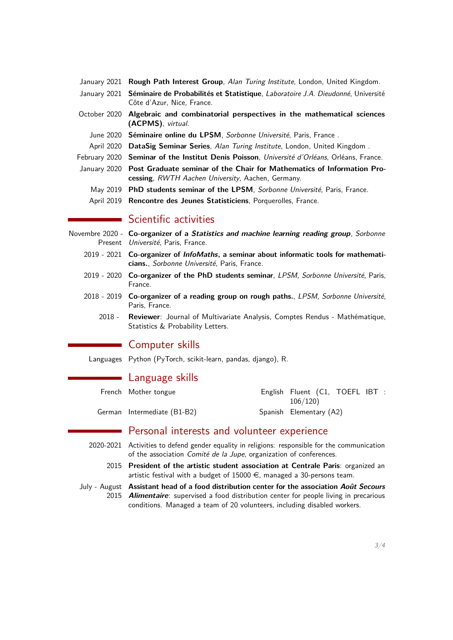| January 2021 Rough Path Interest Group, Alan Turing Institute, London, United Kingdom.        |
|-----------------------------------------------------------------------------------------------|
| January 2021 Séminaire de Probabilités et Statistique, Laboratoire J.A. Dieudonné, Université |

- Côte d'Azur, Nice, France.
- October 2020 **Algebraic and combinatorial perspectives in the mathematical sciences (ACPMS)**, virtual.
	- June 2020 **Séminaire online du LPSM**, Sorbonne Université, Paris, France .
	- April 2020 **DataSig Seminar Series**, Alan Turing Institute, London, United Kingdom .
- February 2020 **Seminar of the Institut Denis Poisson**, Université d'Orléans, Orléans, France.
- January 2020 **Post Graduate seminar of the Chair for Mathematics of Information Processing**, RWTH Aachen University, Aachen, Germany.
	- May 2019 **PhD students seminar of the LPSM**, Sorbonne Université, Paris, France.
	- April 2019 **Rencontre des Jeunes Statisticiens**, Porquerolles, France.

## Scientific activities

- Novembre 2020 **Co-organizer of a Statistics and machine learning reading group**, Sorbonne Present Université, Paris, France.
	- 2019 2021 **Co-organizer of [InfoMaths](http://infomath.pages.math.cnrs.fr/), a seminar about informatic tools for mathematicians.**, Sorbonne Université, Paris, France.
	- 2019 2020 **Co-organizer of the PhD students seminar**, LPSM, Sorbonne Université, Paris, France.
	- 2018 2019 **Co-organizer of a reading group on rough paths.**, LPSM, Sorbonne Université, Paris, France.
		- 2018 **Reviewer**: Journal of Multivariate Analysis, Comptes Rendus Mathématique, Statistics & Probability Letters.

## Computer skills

Languages Python (PyTorch, scikit-learn, pandas, django), R.

### Language skills

| French Mother tongue        | English Fluent (C1, TOEFL IBT :<br>106/120 |
|-----------------------------|--------------------------------------------|
| German Intermediate (B1-B2) | Spanish Elementary (A2)                    |

## Personal interests and volunteer experience

- <span id="page-2-0"></span>2020-2021 Activities to defend gender equality in religions: responsible for the communication of the association Comité de la Jupe, organization of conferences.
	- 2015 **President of the artistic student association at Centrale Paris**: organized an artistic festival with a budget of 15000  $\epsilon$ , managed a 30-persons team.
- July August **Assistant head of a food distribution center for the association Août Secours** 2015 **Alimentaire**: supervised a food distribution center for people living in precarious conditions. Managed a team of 20 volunteers, including disabled workers.